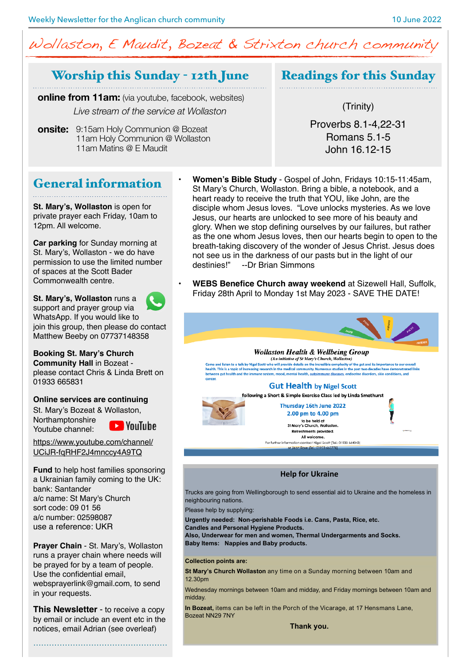# Wollaston, E Maudit, Bozeat & Strixton church community

## Worship this Sunday - 12th June

**online from 11am:** (via youtube, facebook, websites) *Live stream of the service at Wollaston*

**onsite:**  9:15am Holy Communion @ Bozeat 11am Holy Communion @ Wollaston 11am Matins @ E Maudit

Readings for this Sunday

(Trinity)

Proverbs 8.1-4,22-31 Romans 5.1-5 John 16.12-15

## General information

**St. Mary's, Wollaston** is open for private prayer each Friday, 10am to 12pm. All welcome.

**Car parking** for Sunday morning at St. Mary's, Wollaston - we do have permission to use the limited number of spaces at the Scott Bader Commonwealth centre.

**St. Mary's, Wollaston runs a** support and prayer group via WhatsApp. If you would like to join this group, then please do contact Matthew Beeby on 07737148358

### **Booking St. Mary's Church**

**Community Hall** in Bozeat please contact Chris & Linda Brett on 01933 665831

### **Online services are continuing**

St. Mary's Bozeat & Wollaston, Northamptonshire

**EXP** YouTube Youtube channel:

[https://www.youtube.com/channel/](https://www.youtube.com/channel/UCiJR-fqRHF2J4mnccy4A9TQ) [UCiJR-fqRHF2J4mnccy4A9TQ](https://www.youtube.com/channel/UCiJR-fqRHF2J4mnccy4A9TQ)

**Fund** to help host families sponsoring a Ukrainian family coming to the UK: bank: Santander a/c name: St Mary's Church sort code: 09 01 56 a/c number: 02598087 use a reference: UKR

**Prayer Chain** - St. Mary's, Wollaston runs a prayer chain where needs will be prayed for by a team of people. Use the confidential email, [websprayerlink@gmail.com](mailto:websprayerlink@gmail.com), to send in your requests.

**This Newsletter** - to receive a copy by email or include an event etc in the notices, email Adrian (see overleaf)

……………………………………………

- **Women's Bible Study** Gospel of John, Fridays 10:15-11:45am, St Mary's Church, Wollaston. Bring a bible, a notebook, and a heart ready to receive the truth that YOU, like John, are the disciple whom Jesus loves. "Love unlocks mysteries. As we love Jesus, our hearts are unlocked to see more of his beauty and glory. When we stop defining ourselves by our failures, but rather as the one whom Jesus loves, then our hearts begin to open to the breath-taking discovery of the wonder of Jesus Christ. Jesus does not see us in the darkness of our pasts but in the light of our destinies!" --Dr Brian Simmons --Dr Brian Simmons
- **WEBS Benefice Church away weekend** at Sizewell Hall, Suffolk, Friday 28th April to Monday 1st May 2023 - SAVE THE DATE!



**WOULDSION HE CUIN & WEUDEING GTOUP**<br>Come and listen to a talk by Nigel Soott who will provide details on the incredible complexity of the gut and its importance to our overall<br>health. This is a topic of increasing researc

### **Gut Health by Nigel Scott**

following a Short & Simple Exercise Class led by Linda Smethurst Thursday 16th June 2022

2.00 pm to 4.00 pm to be held at<br>.St Mary's Church, Wollaston Refreshments provided. All welcome.

For further information contact Nigel Scott (Tel.: 01933 664043)

### **Help for Ukraine**

Trucks are going from Wellingborough to send essential aid to Ukraine and the homeless in neighbouring nations.

Please help by supplying:

**Urgently needed: Non-perishable Foods i.e. Cans, Pasta, Rice, etc.** 

**Candles and Personal Hygiene Products.** 

Also, Underwear for men and women, Thermal Undergarments and Socks. **Baby Items: Nappies and Baby products.** 

### Collection points are:

**St Mary's Church Wollaston** any time on a Sunday morning between 10am and 12.30pm

Wednesday mornings between 10am and midday, and Friday mornings between 10am and midday.

In Bozeat, items can be left in the Porch of the Vicarage, at 17 Hensmans Lane, Bozeat NN29 7NY

Thank you.